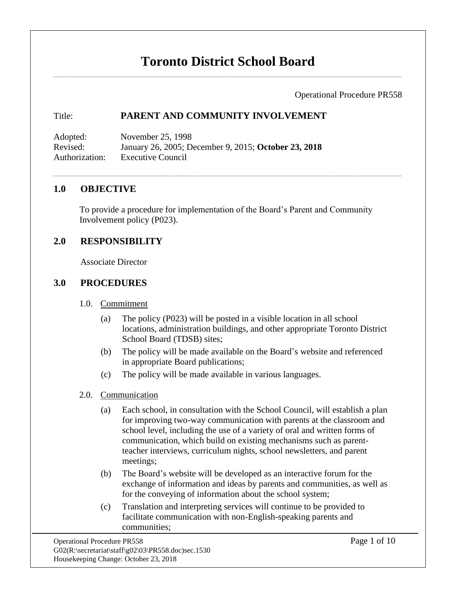# **Toronto District School Board**

Operational Procedure PR558

## Title: **PARENT AND COMMUNITY INVOLVEMENT**

Adopted: November 25, 1998 Revised: January 26, 2005; December 9, 2015; **October 23, 2018** Authorization: Executive Council

## **1.0 OBJECTIVE**

To provide a procedure for implementation of the Board's Parent and Community Involvement policy (P023).

## **2.0 RESPONSIBILITY**

Associate Director

## **3.0 PROCEDURES**

- 1.0. Commitment
	- (a) The policy (P023) will be posted in a visible location in all school locations, administration buildings, and other appropriate Toronto District School Board (TDSB) sites;
	- (b) The policy will be made available on the Board's website and referenced in appropriate Board publications;
	- (c) The policy will be made available in various languages.

#### 2.0. Communication

- (a) Each school, in consultation with the School Council, will establish a plan for improving two-way communication with parents at the classroom and school level, including the use of a variety of oral and written forms of communication, which build on existing mechanisms such as parentteacher interviews, curriculum nights, school newsletters, and parent meetings;
- (b) The Board's website will be developed as an interactive forum for the exchange of information and ideas by parents and communities, as well as for the conveying of information about the school system;
- (c) Translation and interpreting services will continue to be provided to facilitate communication with non-English-speaking parents and communities;

Operational Procedure PR558 Page 1 of 10  $G02(R:\sec\theta\star\stat\stat\stat}^{02\03\PR558.doc)sec.1530$ Housekeeping Change: October 23, 2018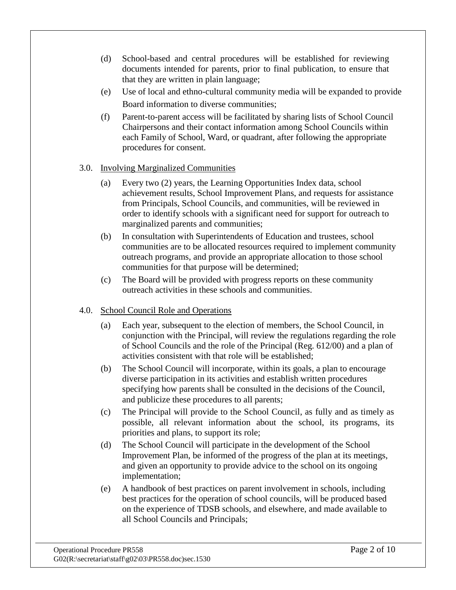- (d) School-based and central procedures will be established for reviewing documents intended for parents, prior to final publication, to ensure that that they are written in plain language;
- (e) Use of local and ethno-cultural community media will be expanded to provide Board information to diverse communities;
- (f) Parent-to-parent access will be facilitated by sharing lists of School Council Chairpersons and their contact information among School Councils within each Family of School, Ward, or quadrant, after following the appropriate procedures for consent.

## 3.0. Involving Marginalized Communities

- (a) Every two (2) years, the Learning Opportunities Index data, school achievement results, School Improvement Plans, and requests for assistance from Principals, School Councils, and communities, will be reviewed in order to identify schools with a significant need for support for outreach to marginalized parents and communities;
- (b) In consultation with Superintendents of Education and trustees, school communities are to be allocated resources required to implement community outreach programs, and provide an appropriate allocation to those school communities for that purpose will be determined;
- (c) The Board will be provided with progress reports on these community outreach activities in these schools and communities.

## 4.0. School Council Role and Operations

- (a) Each year, subsequent to the election of members, the School Council, in conjunction with the Principal, will review the regulations regarding the role of School Councils and the role of the Principal (Reg. 612/00) and a plan of activities consistent with that role will be established;
- (b) The School Council will incorporate, within its goals, a plan to encourage diverse participation in its activities and establish written procedures specifying how parents shall be consulted in the decisions of the Council, and publicize these procedures to all parents;
- (c) The Principal will provide to the School Council, as fully and as timely as possible, all relevant information about the school, its programs, its priorities and plans, to support its role;
- (d) The School Council will participate in the development of the School Improvement Plan, be informed of the progress of the plan at its meetings, and given an opportunity to provide advice to the school on its ongoing implementation;
- (e) A handbook of best practices on parent involvement in schools, including best practices for the operation of school councils, will be produced based on the experience of TDSB schools, and elsewhere, and made available to all School Councils and Principals;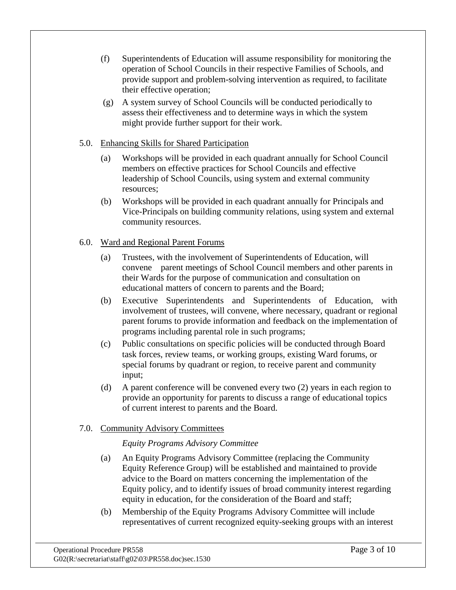- (f) Superintendents of Education will assume responsibility for monitoring the operation of School Councils in their respective Families of Schools, and provide support and problem-solving intervention as required, to facilitate their effective operation;
- (g) A system survey of School Councils will be conducted periodically to assess their effectiveness and to determine ways in which the system might provide further support for their work.

## 5.0. Enhancing Skills for Shared Participation

- (a) Workshops will be provided in each quadrant annually for School Council members on effective practices for School Councils and effective leadership of School Councils, using system and external community resources;
- (b) Workshops will be provided in each quadrant annually for Principals and Vice-Principals on building community relations, using system and external community resources.

## 6.0. Ward and Regional Parent Forums

- (a) Trustees, with the involvement of Superintendents of Education, will convene parent meetings of School Council members and other parents in their Wards for the purpose of communication and consultation on educational matters of concern to parents and the Board;
- (b) Executive Superintendents and Superintendents of Education, with involvement of trustees, will convene, where necessary, quadrant or regional parent forums to provide information and feedback on the implementation of programs including parental role in such programs;
- (c) Public consultations on specific policies will be conducted through Board task forces, review teams, or working groups, existing Ward forums, or special forums by quadrant or region, to receive parent and community input;
- (d) A parent conference will be convened every two (2) years in each region to provide an opportunity for parents to discuss a range of educational topics of current interest to parents and the Board.

## 7.0. Community Advisory Committees

## *Equity Programs Advisory Committee*

- (a) An Equity Programs Advisory Committee (replacing the Community Equity Reference Group) will be established and maintained to provide advice to the Board on matters concerning the implementation of the Equity policy, and to identify issues of broad community interest regarding equity in education, for the consideration of the Board and staff;
- (b) Membership of the Equity Programs Advisory Committee will include representatives of current recognized equity-seeking groups with an interest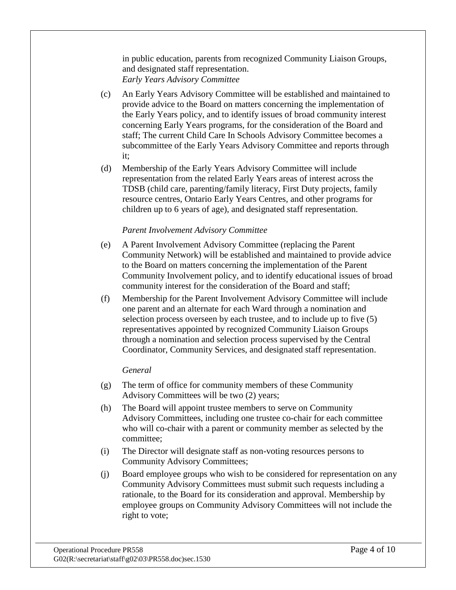in public education, parents from recognized Community Liaison Groups, and designated staff representation. *Early Years Advisory Committee*

- (c) An Early Years Advisory Committee will be established and maintained to provide advice to the Board on matters concerning the implementation of the Early Years policy, and to identify issues of broad community interest concerning Early Years programs, for the consideration of the Board and staff; The current Child Care In Schools Advisory Committee becomes a subcommittee of the Early Years Advisory Committee and reports through it;
- (d) Membership of the Early Years Advisory Committee will include representation from the related Early Years areas of interest across the TDSB (child care, parenting/family literacy, First Duty projects, family resource centres, Ontario Early Years Centres, and other programs for children up to 6 years of age), and designated staff representation.

## *Parent Involvement Advisory Committee*

- (e) A Parent Involvement Advisory Committee (replacing the Parent Community Network) will be established and maintained to provide advice to the Board on matters concerning the implementation of the Parent Community Involvement policy, and to identify educational issues of broad community interest for the consideration of the Board and staff;
- (f) Membership for the Parent Involvement Advisory Committee will include one parent and an alternate for each Ward through a nomination and selection process overseen by each trustee, and to include up to five (5) representatives appointed by recognized Community Liaison Groups through a nomination and selection process supervised by the Central Coordinator, Community Services, and designated staff representation.

## *General*

- (g) The term of office for community members of these Community Advisory Committees will be two (2) years;
- (h) The Board will appoint trustee members to serve on Community Advisory Committees, including one trustee co-chair for each committee who will co-chair with a parent or community member as selected by the committee;
- (i) The Director will designate staff as non-voting resources persons to Community Advisory Committees;
- (j) Board employee groups who wish to be considered for representation on any Community Advisory Committees must submit such requests including a rationale, to the Board for its consideration and approval. Membership by employee groups on Community Advisory Committees will not include the right to vote;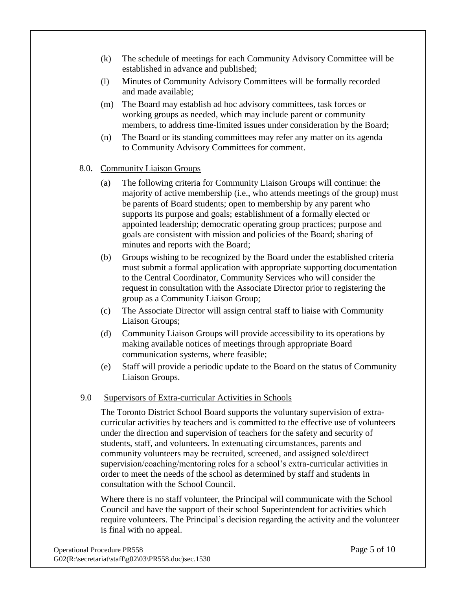- (k) The schedule of meetings for each Community Advisory Committee will be established in advance and published;
- (l) Minutes of Community Advisory Committees will be formally recorded and made available;
- (m) The Board may establish ad hoc advisory committees, task forces or working groups as needed, which may include parent or community members, to address time-limited issues under consideration by the Board;
- (n) The Board or its standing committees may refer any matter on its agenda to Community Advisory Committees for comment.

## 8.0. Community Liaison Groups

- (a) The following criteria for Community Liaison Groups will continue: the majority of active membership (i.e., who attends meetings of the group) must be parents of Board students; open to membership by any parent who supports its purpose and goals; establishment of a formally elected or appointed leadership; democratic operating group practices; purpose and goals are consistent with mission and policies of the Board; sharing of minutes and reports with the Board;
- (b) Groups wishing to be recognized by the Board under the established criteria must submit a formal application with appropriate supporting documentation to the Central Coordinator, Community Services who will consider the request in consultation with the Associate Director prior to registering the group as a Community Liaison Group;
- (c) The Associate Director will assign central staff to liaise with Community Liaison Groups;
- (d) Community Liaison Groups will provide accessibility to its operations by making available notices of meetings through appropriate Board communication systems, where feasible;
- (e) Staff will provide a periodic update to the Board on the status of Community Liaison Groups.

## 9.0 Supervisors of Extra-curricular Activities in Schools

The Toronto District School Board supports the voluntary supervision of extracurricular activities by teachers and is committed to the effective use of volunteers under the direction and supervision of teachers for the safety and security of students, staff, and volunteers. In extenuating circumstances, parents and community volunteers may be recruited, screened, and assigned sole/direct supervision/coaching/mentoring roles for a school's extra-curricular activities in order to meet the needs of the school as determined by staff and students in consultation with the School Council.

Where there is no staff volunteer, the Principal will communicate with the School Council and have the support of their school Superintendent for activities which require volunteers. The Principal's decision regarding the activity and the volunteer is final with no appeal.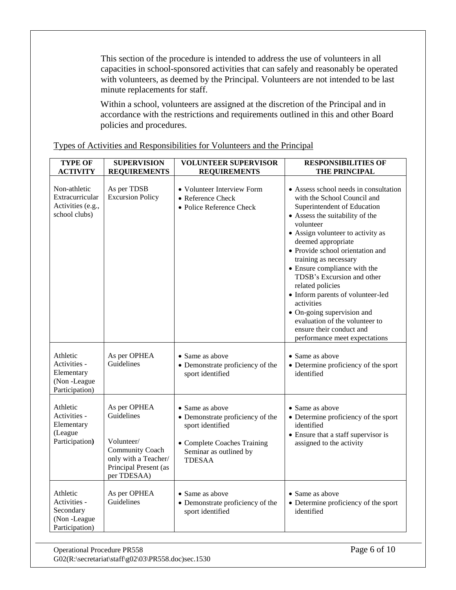This section of the procedure is intended to address the use of volunteers in all capacities in school-sponsored activities that can safely and reasonably be operated with volunteers, as deemed by the Principal. Volunteers are not intended to be last minute replacements for staff.

Within a school, volunteers are assigned at the discretion of the Principal and in accordance with the restrictions and requirements outlined in this and other Board policies and procedures.

| <b>TYPE OF</b><br><b>ACTIVITY</b>                                       | <b>SUPERVISION</b><br><b>REQUIREMENTS</b>                                                                                   | <b>VOLUNTEER SUPERVISOR</b><br><b>REQUIREMENTS</b>                                                                                                | <b>RESPONSIBILITIES OF</b><br><b>THE PRINCIPAL</b>                                                                                                                                                                                                                                                                                                                                                                                                                                                                                            |
|-------------------------------------------------------------------------|-----------------------------------------------------------------------------------------------------------------------------|---------------------------------------------------------------------------------------------------------------------------------------------------|-----------------------------------------------------------------------------------------------------------------------------------------------------------------------------------------------------------------------------------------------------------------------------------------------------------------------------------------------------------------------------------------------------------------------------------------------------------------------------------------------------------------------------------------------|
| Non-athletic<br>Extracurricular<br>Activities (e.g.,<br>school clubs)   | As per TDSB<br><b>Excursion Policy</b>                                                                                      | • Volunteer Interview Form<br>• Reference Check<br>• Police Reference Check                                                                       | • Assess school needs in consultation<br>with the School Council and<br>Superintendent of Education<br>• Assess the suitability of the<br>volunteer<br>• Assign volunteer to activity as<br>deemed appropriate<br>• Provide school orientation and<br>training as necessary<br>• Ensure compliance with the<br>TDSB's Excursion and other<br>related policies<br>• Inform parents of volunteer-led<br>activities<br>• On-going supervision and<br>evaluation of the volunteer to<br>ensure their conduct and<br>performance meet expectations |
| Athletic<br>Activities -<br>Elementary<br>(Non-League<br>Participation) | As per OPHEA<br>Guidelines                                                                                                  | • Same as above<br>• Demonstrate proficiency of the<br>sport identified                                                                           | • Same as above<br>• Determine proficiency of the sport<br>identified                                                                                                                                                                                                                                                                                                                                                                                                                                                                         |
| Athletic<br>Activities -<br>Elementary<br>(League<br>Participation)     | As per OPHEA<br>Guidelines<br>Volunteer/<br>Community Coach<br>only with a Teacher/<br>Principal Present (as<br>per TDESAA) | • Same as above<br>• Demonstrate proficiency of the<br>sport identified<br>• Complete Coaches Training<br>Seminar as outlined by<br><b>TDESAA</b> | • Same as above<br>• Determine proficiency of the sport<br>identified<br>• Ensure that a staff supervisor is<br>assigned to the activity                                                                                                                                                                                                                                                                                                                                                                                                      |
| Athletic<br>Activities -<br>Secondary<br>(Non-League<br>Participation)  | As per OPHEA<br>Guidelines                                                                                                  | • Same as above<br>• Demonstrate proficiency of the<br>sport identified                                                                           | • Same as above<br>• Determine proficiency of the sport<br>identified                                                                                                                                                                                                                                                                                                                                                                                                                                                                         |

Types of Activities and Responsibilities for Volunteers and the Principal

Operational Procedure PR558 Page 6 of 10 G02(R:\secretariat\staff\g02\03\PR558.doc)sec.1530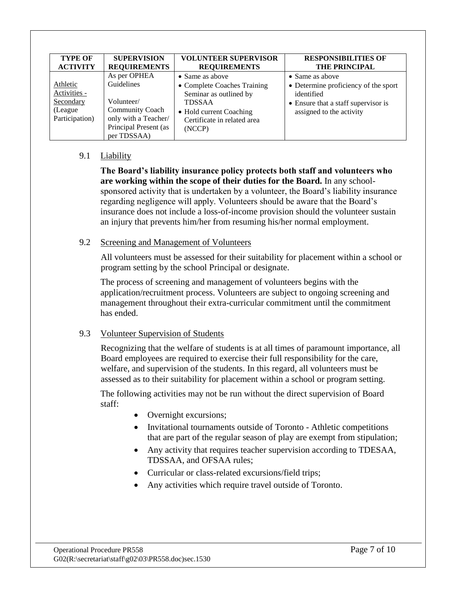| <b>TYPE OF</b>                                                      | <b>SUPERVISION</b>                                                                                                                 | <b>VOLUNTEER SUPERVISOR</b>                                                                                                                                           | <b>RESPONSIBILITIES OF</b>                                                                                                                       |
|---------------------------------------------------------------------|------------------------------------------------------------------------------------------------------------------------------------|-----------------------------------------------------------------------------------------------------------------------------------------------------------------------|--------------------------------------------------------------------------------------------------------------------------------------------------|
| <b>ACTIVITY</b>                                                     | <b>REQUIREMENTS</b>                                                                                                                | <b>REQUIREMENTS</b>                                                                                                                                                   | <b>THE PRINCIPAL</b>                                                                                                                             |
| Athletic<br>Activities -<br>Secondary<br>(League)<br>Participation) | As per OPHEA<br>Guidelines<br>Volunteer/<br><b>Community Coach</b><br>only with a Teacher/<br>Principal Present (as<br>per TDSSAA) | $\bullet$ Same as above<br>• Complete Coaches Training<br>Seminar as outlined by<br><b>TDSSAA</b><br>• Hold current Coaching<br>Certificate in related area<br>(NCCP) | $\bullet$ Same as above<br>• Determine proficiency of the sport<br>identified<br>• Ensure that a staff supervisor is<br>assigned to the activity |

## 9.1 Liability

**The Board's liability insurance policy protects both staff and volunteers who are working within the scope of their duties for the Board.** In any schoolsponsored activity that is undertaken by a volunteer, the Board's liability insurance regarding negligence will apply. Volunteers should be aware that the Board's insurance does not include a loss-of-income provision should the volunteer sustain an injury that prevents him/her from resuming his/her normal employment.

#### 9.2 Screening and Management of Volunteers

All volunteers must be assessed for their suitability for placement within a school or program setting by the school Principal or designate.

The process of screening and management of volunteers begins with the application/recruitment process. Volunteers are subject to ongoing screening and management throughout their extra-curricular commitment until the commitment has ended.

## 9.3 Volunteer Supervision of Students

Recognizing that the welfare of students is at all times of paramount importance, all Board employees are required to exercise their full responsibility for the care, welfare, and supervision of the students. In this regard, all volunteers must be assessed as to their suitability for placement within a school or program setting.

The following activities may not be run without the direct supervision of Board staff:

- Overnight excursions;
- Invitational tournaments outside of Toronto Athletic competitions that are part of the regular season of play are exempt from stipulation;
- Any activity that requires teacher supervision according to TDESAA, TDSSAA, and OFSAA rules;
- Curricular or class-related excursions/field trips;
- Any activities which require travel outside of Toronto.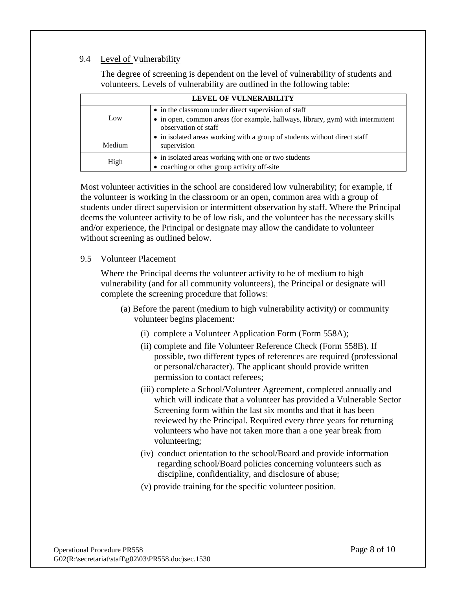## 9.4 Level of Vulnerability

The degree of screening is dependent on the level of vulnerability of students and volunteers. Levels of vulnerability are outlined in the following table:

| LEVEL OF VULNERABILITY |                                                                                                                                                                 |  |  |
|------------------------|-----------------------------------------------------------------------------------------------------------------------------------------------------------------|--|--|
| Low                    | • in the classroom under direct supervision of staff<br>• in open, common areas (for example, hallways, library, gym) with intermittent<br>observation of staff |  |  |
| Medium                 | • in isolated areas working with a group of students without direct staff<br>supervision                                                                        |  |  |
| High                   | • in isolated areas working with one or two students<br>• coaching or other group activity off-site                                                             |  |  |

Most volunteer activities in the school are considered low vulnerability; for example, if the volunteer is working in the classroom or an open, common area with a group of students under direct supervision or intermittent observation by staff. Where the Principal deems the volunteer activity to be of low risk, and the volunteer has the necessary skills and/or experience, the Principal or designate may allow the candidate to volunteer without screening as outlined below.

## 9.5 Volunteer Placement

Where the Principal deems the volunteer activity to be of medium to high vulnerability (and for all community volunteers), the Principal or designate will complete the screening procedure that follows:

- (a) Before the parent (medium to high vulnerability activity) or community volunteer begins placement:
	- (i) complete a Volunteer Application Form (Form 558A);
	- (ii) complete and file Volunteer Reference Check (Form 558B). If possible, two different types of references are required (professional or personal/character). The applicant should provide written permission to contact referees;
	- (iii) complete a School/Volunteer Agreement, completed annually and which will indicate that a volunteer has provided a Vulnerable Sector Screening form within the last six months and that it has been reviewed by the Principal. Required every three years for returning volunteers who have not taken more than a one year break from volunteering;
	- (iv) conduct orientation to the school/Board and provide information regarding school/Board policies concerning volunteers such as discipline, confidentiality, and disclosure of abuse;
	- (v) provide training for the specific volunteer position.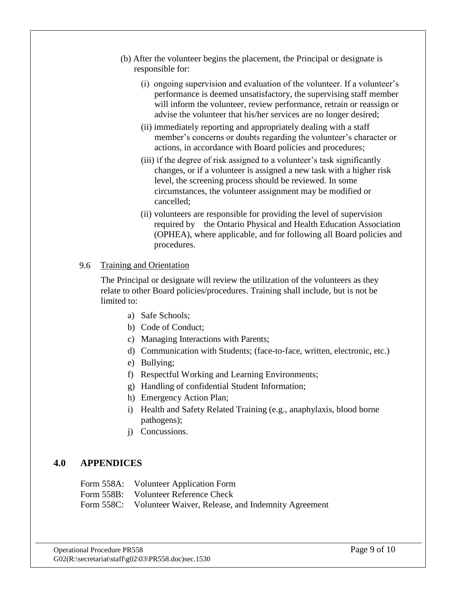- (b) After the volunteer begins the placement, the Principal or designate is responsible for:
	- (i) ongoing supervision and evaluation of the volunteer. If a volunteer's performance is deemed unsatisfactory, the supervising staff member will inform the volunteer, review performance, retrain or reassign or advise the volunteer that his/her services are no longer desired;
	- (ii) immediately reporting and appropriately dealing with a staff member's concerns or doubts regarding the volunteer's character or actions, in accordance with Board policies and procedures;
	- (iii) if the degree of risk assigned to a volunteer's task significantly changes, or if a volunteer is assigned a new task with a higher risk level, the screening process should be reviewed. In some circumstances, the volunteer assignment may be modified or cancelled;
	- (ii) volunteers are responsible for providing the level of supervision required by the Ontario Physical and Health Education Association (OPHEA), where applicable, and for following all Board policies and procedures.

## 9.6 Training and Orientation

The Principal or designate will review the utilization of the volunteers as they relate to other Board policies/procedures. Training shall include, but is not be limited to:

- a) Safe Schools;
- b) Code of Conduct;
- c) Managing Interactions with Parents;
- d) Communication with Students; (face-to-face, written, electronic, etc.)
- e) Bullying;
- f) Respectful Working and Learning Environments;
- g) Handling of confidential Student Information;
- h) Emergency Action Plan;
- i) Health and Safety Related Training (e.g., anaphylaxis, blood borne pathogens);
- j) Concussions.

## **4.0 APPENDICES**

Form 558A: Volunteer Application Form Form 558B: Volunteer Reference Check Form 558C: Volunteer Waiver, Release, and Indemnity Agreement